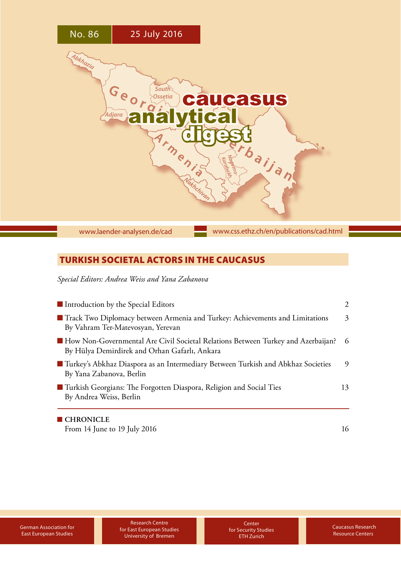

## TURKISH SOCIETAL ACTORS IN THE CAUCASUS

*Special Editors: Andrea Weiss and Yana Zabanova*

| Introduction by the Special Editors                                                                                                         | 2  |
|---------------------------------------------------------------------------------------------------------------------------------------------|----|
| Track Two Diplomacy between Armenia and Turkey: Achievements and Limitations<br>By Vahram Ter-Matevosyan, Yerevan                           | 3  |
| <b>ID</b> How Non-Governmental Are Civil Societal Relations Between Turkey and Azerbaijan?<br>By Hülya Demirdirek and Orhan Gafarlı, Ankara | -6 |
| ■ Turkey's Abkhaz Diaspora as an Intermediary Between Turkish and Abkhaz Societies<br>By Yana Zabanova, Berlin                              | 9  |
| ■ Turkish Georgians: The Forgotten Diaspora, Religion and Social Ties<br>By Andrea Weiss, Berlin                                            | 13 |
| $\blacksquare$ CHRONICLE                                                                                                                    |    |

[From 14 June to 19 July 2016](#page-15-0) 16

Research Centre for East European Studies University of Bremen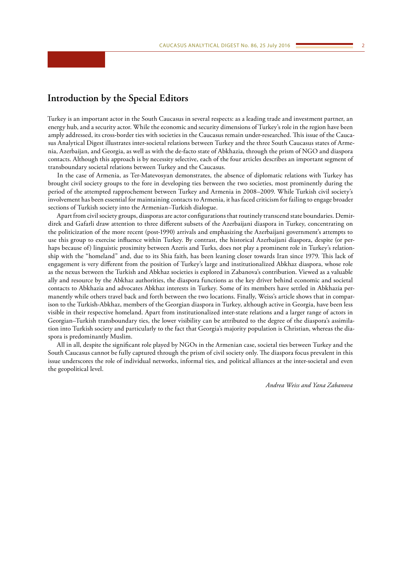## <span id="page-1-0"></span>**Introduction by the Special Editors**

Turkey is an important actor in the South Caucasus in several respects: as a leading trade and investment partner, an energy hub, and a security actor. While the economic and security dimensions of Turkey's role in the region have been amply addressed, its cross-border ties with societies in the Caucasus remain under-researched. This issue of the Caucasus Analytical Digest illustrates inter-societal relations between Turkey and the three South Caucasus states of Armenia, Azerbaijan, and Georgia, as well as with the de-facto state of Abkhazia, through the prism of NGO and diaspora contacts. Although this approach is by necessity selective, each of the four articles describes an important segment of transboundary societal relations between Turkey and the Caucasus.

In the case of Armenia, as Ter-Matevosyan demonstrates, the absence of diplomatic relations with Turkey has brought civil society groups to the fore in developing ties between the two societies, most prominently during the period of the attempted rapprochement between Turkey and Armenia in 2008–2009. While Turkish civil society's involvement has been essential for maintaining contacts to Armenia, it has faced criticism for failing to engage broader sections of Turkish society into the Armenian–Turkish dialogue.

Apart from civil society groups, diasporas are actor configurations that routinely transcend state boundaries. Demirdirek and Gafarli draw attention to three different subsets of the Azerbaijani diaspora in Turkey, concentrating on the politicization of the more recent (post-1990) arrivals and emphasizing the Azerbaijani government's attempts to use this group to exercise influence within Turkey. By contrast, the historical Azerbaijani diaspora, despite (or perhaps because of) linguistic proximity between Azeris and Turks, does not play a prominent role in Turkey's relationship with the "homeland" and, due to its Shia faith, has been leaning closer towards Iran since 1979. This lack of engagement is very different from the position of Turkey's large and institutionalized Abkhaz diaspora, whose role as the nexus between the Turkish and Abkhaz societies is explored in Zabanova's contribution. Viewed as a valuable ally and resource by the Abkhaz authorities, the diaspora functions as the key driver behind economic and societal contacts to Abkhazia and advocates Abkhaz interests in Turkey. Some of its members have settled in Abkhazia permanently while others travel back and forth between the two locations. Finally, Weiss's article shows that in comparison to the Turkish-Abkhaz, members of the Georgian diaspora in Turkey, although active in Georgia, have been less visible in their respective homeland. Apart from institutionalized inter-state relations and a larger range of actors in Georgian–Turkish transboundary ties, the lower visibility can be attributed to the degree of the diaspora's assimilation into Turkish society and particularly to the fact that Georgia's majority population is Christian, whereas the diaspora is predominantly Muslim.

All in all, despite the significant role played by NGOs in the Armenian case, societal ties between Turkey and the South Caucasus cannot be fully captured through the prism of civil society only. The diaspora focus prevalent in this issue underscores the role of individual networks, informal ties, and political alliances at the inter-societal and even the geopolitical level.

*Andrea Weiss and Yana Zabanova*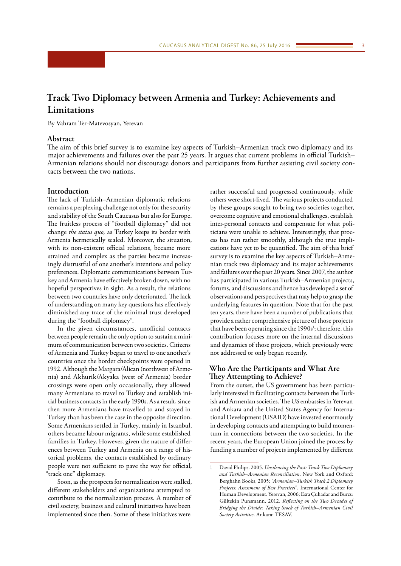## <span id="page-2-0"></span>**Track Two Diplomacy between Armenia and Turkey: Achievements and Limitations**

By Vahram Ter-Matevosyan, Yerevan

## **Abstract**

The aim of this brief survey is to examine key aspects of Turkish–Armenian track two diplomacy and its major achievements and failures over the past 25 years. It argues that current problems in official Turkish– Armenian relations should not discourage donors and participants from further assisting civil society contacts between the two nations.

## **Introduction**

The lack of Turkish–Armenian diplomatic relations remains a perplexing challenge not only for the security and stability of the South Caucasus but also for Europe. The fruitless process of "football diplomacy" did not change *the status quo,* as Turkey keeps its border with Armenia hermetically sealed. Moreover, the situation, with its non-existent official relations, became more strained and complex as the parties became increasingly distrustful of one another's intentions and policy preferences. Diplomatic communications between Turkey and Armenia have effectively broken down, with no hopeful perspectives in sight. As a result, the relations between two countries have only deteriorated. The lack of understanding on many key questions has effectively diminished any trace of the minimal trust developed during the "football diplomacy".

In the given circumstances, unofficial contacts between people remain the only option to sustain a minimum of communication between two societies. Citizens of Armenia and Turkey began to travel to one another's countries once the border checkpoints were opened in 1992. Although the Margara/Alican (northwest of Armenia) and Akhurik/Akyaka (west of Armenia) border crossings were open only occasionally, they allowed many Armenians to travel to Turkey and establish initial business contacts in the early 1990s. As a result, since then more Armenians have travelled to and stayed in Turkey than has been the case in the opposite direction. Some Armenians settled in Turkey, mainly in Istanbul, others became labour migrants, while some established families in Turkey. However, given the nature of differences between Turkey and Armenia on a range of historical problems, the contacts established by ordinary people were not sufficient to pave the way for official, "track one" diplomacy.

Soon, as the prospects for normalization were stalled, different stakeholders and organizations attempted to contribute to the normalization process. A number of civil society, business and cultural initiatives have been implemented since then. Some of these initiatives were

rather successful and progressed continuously, while others were short-lived. The various projects conducted by these groups sought to bring two societies together, overcome cognitive and emotional challenges, establish inter-personal contacts and compensate for what politicians were unable to achieve. Interestingly, that process has run rather smoothly, although the true implications have yet to be quantified. The aim of this brief survey is to examine the key aspects of Turkish–Armenian track two diplomacy and its major achievements and failures over the past 20 years. Since 2007, the author has participated in various Turkish–Armenian projects, forums, and discussions and hence has developed a set of observations and perspectives that may help to grasp the underlying features in question. Note that for the past ten years, there have been a number of publications that provide a rather comprehensive picture of those projects that have been operating since the 1990s<sup>1</sup>; therefore, this contribution focuses more on the internal discussions and dynamics of those projects, which previously were not addressed or only began recently.

## **Who Are the Participants and What Are They Attempting to Achieve?**

From the outset, the US government has been particularly interested in facilitating contacts between the Turkish and Armenian societies. The US embassies in Yerevan and Ankara and the United States Agency for International Development (USAID) have invested enormously in developing contacts and attempting to build momentum in connections between the two societies. In the recent years, the European Union joined the process by funding a number of projects implemented by different

<sup>1</sup> David Philips. 2005. *Unsilencing the Past: Track Two Diplomacy and Turkish–Armenian Reconciliation*. New York and Oxford: Berghahn Books, 2005; "*Armenian–Turkish Track 2 Diplomacy Projects: Assessment of Best Practices*". International Center for Human Development. Yerevan, 2006; Esra Çuhadar and Burcu Gültekin Punsmann. 2012. *Reflecting on the Two Decades of Bridging the Divide: Taking Stock of Turkish–Armenian Civil Society Activities.* Ankara: TESAV.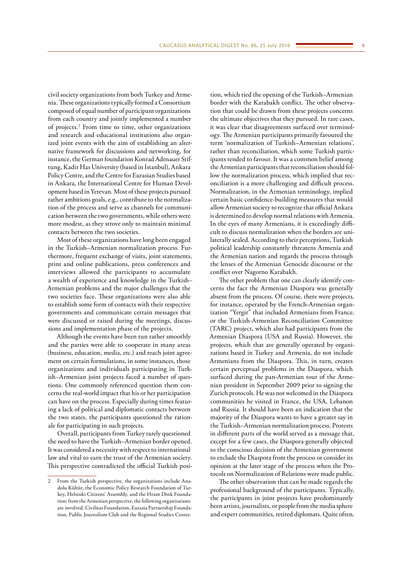civil society organizations from both Turkey and Armenia. These organizations typically formed a Consortium composed of equal number of participant organizations from each country and jointly implemented a number of projects.2 From time to time, other organizations and research and educational institutions also organized joint events with the aim of establishing an alternative framework for discussions and networking, for instance, the German foundation Konrad Adenauer Stiftung, Kadir Has University (based in Istanbul), Ankara Policy Centre, and the Centre for Eurasian Studies based in Ankara, the International Centre for Human Development based in Yerevan. Most of these projects pursued rather ambitions goals, e.g., contribute to the normalization of the process and serve as channels for communication between the two governments, while others were more modest, as they strove only to maintain minimal contacts between the two societies.

Most of these organizations have long been engaged in the Turkish–Armenian normalization process. Furthermore, frequent exchange of visits, joint statements, print and online publications, press conferences and interviews allowed the participants to accumulate a wealth of experience and knowledge in the Turkish– Armenian problems and the major challenges that the two societies face. These organizations were also able to establish some form of contacts with their respective governments and communicate certain messages that were discussed or raised during the meetings, discussions and implementation phase of the projects.

Although the events have been run rather smoothly and the parties were able to cooperate in many areas (business, education, media, etc.) and reach joint agreement on certain formulations, in some instances, those organizations and individuals participating in Turkish–Armenian joint projects faced a number of questions. One commonly referenced question them concerns the real-world impact that his or her participation can have on the process. Especially during times featuring a lack of political and diplomatic contacts between the two states, the participants questioned the rationale for participating in such projects.

Overall, participants from Turkey rarely questioned the need to have the Turkish–Armenian border opened. It was considered a necessity with respect to international law and vital to earn the trust of the Armenian society. This perspective contradicted the official Turkish posi-

tion, which tied the opening of the Turkish–Armenian border with the Karabakh conflict. The other observation that could be drawn from these projects concerns the ultimate objectives that they pursued. In rare cases, it was clear that disagreements surfaced over terminology. The Armenian participants primarily favoured the term 'normalization of Turkish–Armenian relations', rather than reconciliation, which some Turkish participants tended to favour. It was a common belief among the Armenian participants that reconciliation should follow the normalization process, which implied that reconciliation is a more challenging and difficult process. Normalization, in the Armenian terminology, implied certain basic confidence-building measures that would allow Armenian society to recognize that official Ankara is determined to develop normal relations with Armenia. In the eyes of many Armenians, it is exceedingly difficult to discuss normalization when the borders are unilaterally sealed. According to their perceptions, Turkish political leadership constantly threatens Armenia and the Armenian nation and regards the process through the lenses of the Armenian Genocide discourse or the conflict over Nagorno Karabakh.

The other problem that one can clearly identify concerns the fact the Armenian Diaspora was generally absent from the process. Of course, there were projects, for instance, operated by the French-Armenian organization "Yergir" that included Armenians from France, or the Turkish-Armenian Reconciliation Committee (TARC) project, which also had participants from the Armenian Diaspora (USA and Russia). However, the projects, which that are generally operated by organizations based in Turkey and Armenia, do not include Armenians from the Diaspora. This, in turn, creates certain perceptual problems in the Diaspora, which surfaced during the pan-Armenian tour of the Armenian president in September 2009 prior to signing the Zurich protocols. He was not welcomed in the Diaspora communities he visited in France, the USA, Lebanon and Russia. It should have been an indication that the majority of the Diaspora wants to have a greater say in the Turkish–Armenian normalization process. Protests in different parts of the world served as a message that, except for a few cases, the Diaspora generally objected to the conscious decision of the Armenian government to exclude the Diaspora from the process or consider its opinion at the later stage of the process when the Protocols on Normalization of Relations were made public.

The other observation that can be made regards the professional background of the participants. Typically, the participants in joint projects have predominantly been artists, journalists, or people from the media sphere and expert communities, retired diplomats. Quite often,

From the Turkish perspective, the organizations include Anadolu Kültür, the Economic Policy Research Foundation of Turkey, Helsinki Citizens' Assembly, and the Hrant Dink Foundation; from the Armenian perspective, the following organizations are involved, Civilitas Foundation, Eurasia Partnership Foundation, Public Journalism Club and the Regional Studies Center.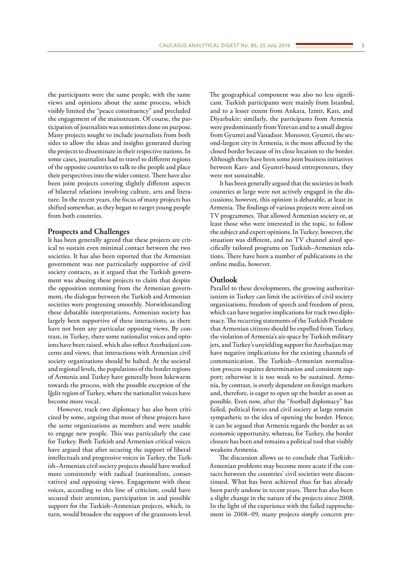the participants were the same people, with the same views and opinions about the same process, which visibly limited the "peace constituency" and precluded the engagement of the mainstream. Of course, the participation of journalists was sometimes done on purpose. Many projects sought to include journalists from both sides to allow the ideas and insights generated during the projects to disseminate in their respective nations. In some cases, journalists had to travel to different regions of the opposite countries to talk to the people and place their perspectives into the wider context. There have also been joint projects covering slightly different aspects of bilateral relations involving culture, arts and literature. In the recent years, the focus of many projects has shifted somewhat, as they began to target young people from both countries.

## **Prospects and Challenges**

It has been generally agreed that these projects are critical to sustain even minimal contact between the two societies. It has also been reported that the Armenian government was not particularly supportive of civil society contacts, as it argued that the Turkish government was abusing these projects to claim that despite the opposition stemming from the Armenian government, the dialogue between the Turkish and Armenian societies were progressing smoothly. Notwithstanding these debatable interpretations, Armenian society has largely been supportive of these interactions, as there have not been any particular opposing views. By contrast, in Turkey, there some nationalist voices and opinions have been raised, which also reflect Azerbaijani concerns and views, that interactions with Armenian civil society organizations should be halted. At the societal and regional levels, the populations of the border regions of Armenia and Turkey have generally been lukewarm towards the process, with the possible exception of the Iğdir region of Turkey, where the nationalist voices have become more vocal.

However, track two diplomacy has also been criticized by some, arguing that most of these projects have the same organizations as members and were unable to engage new people. This was particularly the case for Turkey. Both Turkish and Armenian critical voices have argued that after securing the support of liberal intellectuals and progressive voices in Turkey, the Turkish–Armenian civil society projects should have worked more consistently with radical (nationalists, conservatives) and opposing views. Engagement with these voices, according to this line of criticism, could have secured their attention, participation in and possible support for the Turkish–Armenian projects, which, in turn, would broaden the support of the grassroots level.

The geographical component was also no less significant. Turkish participants were mainly from Istanbul, and to a lesser extent from Ankara, Izmir, Kars, and Diyarbakir; similarly, the participants from Armenia were predominantly from Yerevan and to a small degree from Gyumri and Vanadzor. Moreover, Gyumri, the second-largest city in Armenia, is the most affected by the closed border because of its close location to the border. Although there have been some joint business initiatives between Kars- and Gyumri-based entrepreneurs, they were not sustainable.

It has been generally argued that the societies in both countries at large were not actively engaged in the discussions; however, this opinion is debatable, at least in Armenia. The findings of various projects were aired on TV programmes. That allowed Armenian society or, at least those who were interested in the topic, to follow the subject and expert opinions. In Turkey, however, the situation was different, and no TV channel aired specifically tailored programs on Turkish–Armenian relations. There have been a number of publications in the online media, however.

## **Outlook**

Parallel to these developments, the growing authoritarianism in Turkey can limit the activities of civil society organizations, freedom of speech and freedom of press, which can have negative implications for track two diplomacy. The recurring statements of the Turkish President that Armenian citizens should be expelled from Turkey, the violation of Armenia's air-space by Turkish military jets, and Turkey's unyielding support for Azerbaijan may have negative implications for the existing channels of communication. The Turkish–Armenian normalization process requires determination and consistent support; otherwise it is too weak to be sustained. Armenia, by contrast, is overly dependent on foreign markets and, therefore, is eager to open up the border as soon as possible. Even now, after the "football diplomacy" has failed, political forces and civil society at large remain sympathetic to the idea of opening the border. Hence, it can be argued that Armenia regards the border as an economic opportunity, whereas, for Turkey, the border closure has been and remains a political tool that visibly weakens Armenia.

The discussion allows us to conclude that Turkish– Armenian problems may become more acute if the contacts between the countries' civil societies were discontinued. What has been achieved thus far has already been partly undone in recent years. There has also been a slight change in the nature of the projects since 2008. In the light of the experience with the failed rapprochement in 2008–09, many projects simply concern pre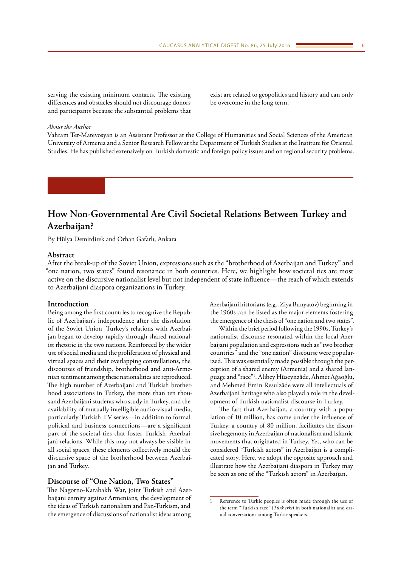<span id="page-5-0"></span>serving the existing minimum contacts. The existing differences and obstacles should not discourage donors and participants because the substantial problems that

exist are related to geopolitics and history and can only be overcome in the long term.

### *About the Author*

Vahram Ter-Matevosyan is an Assistant Professor at the College of Humanities and Social Sciences of the American University of Armenia and a Senior Research Fellow at the Department of Turkish Studies at the Institute for Oriental Studies. He has published extensively on Turkish domestic and foreign policy issues and on regional security problems.

## **How Non-Governmental Are Civil Societal Relations Between Turkey and Azerbaijan?**

By Hülya Demirdirek and Orhan Gafarlı, Ankara

## **Abstract**

After the break-up of the Soviet Union, expressions such as the "brotherhood of Azerbaijan and Turkey" and "one nation, two states" found resonance in both countries. Here, we highlight how societal ties are most active on the discursive nationalist level but not independent of state influence—the reach of which extends to Azerbaijani diaspora organizations in Turkey.

## **Introduction**

Being among the first countries to recognize the Republic of Azerbaijan's independence after the dissolution of the Soviet Union, Turkey's relations with Azerbaijan began to develop rapidly through shared nationalist rhetoric in the two nations. Reinforced by the wider use of social media and the proliferation of physical and virtual spaces and their overlapping constellations, the discourses of friendship, brotherhood and anti-Armenian sentiment among these nationalities are reproduced. The high number of Azerbaijani and Turkish brotherhood associations in Turkey, the more than ten thousand Azerbaijani students who study in Turkey, and the availability of mutually intelligible audio-visual media, particularly Turkish TV series—in addition to formal political and business connections—are a significant part of the societal ties that foster Turkish–Azerbaijani relations. While this may not always be visible in all social spaces, these elements collectively mould the discursive space of the brotherhood between Azerbaijan and Turkey.

## **Discourse of "One Nation, Two States"**

The Nagorno-Karabakh War, joint Turkish and Azerbaijani enmity against Armenians, the development of the ideas of Turkish nationalism and Pan-Turkism, and the emergence of discussions of nationalist ideas among Azerbaijani historians (e.g., Ziya Bunyatov) beginning in the 1960s can be listed as the major elements fostering the emergence of the thesis of "one nation and two states".

Within the brief period following the 1990s, Turkey's nationalist discourse resonated within the local Azerbaijani population and expressions such as "two brother countries" and the "one nation" discourse were popularized. This was essentially made possible through the perception of a shared enemy (Armenia) and a shared language and "race"1 . Alibey Hüseynzâde, Ahmet Ağaoğlu, and Mehmed Emin Resulzâde were all intellectuals of Azerbaijani heritage who also played a role in the development of Turkish nationalist discourse in Turkey.

The fact that Azerbaijan, a country with a population of 10 million, has come under the influence of Turkey, a country of 80 million, facilitates the discursive hegemony in Azerbaijan of nationalism and Islamic movements that originated in Turkey. Yet, who can be considered "Turkish actors" in Azerbaijan is a complicated story. Here, we adopt the opposite approach and illustrate how the Azerbaijani diaspora in Turkey may be seen as one of the "Turkish actors" in Azerbaijan.

Reference to Turkic peoples is often made through the use of the term "Turkish race" (*Türk ırkı*) in both nationalist and casual conversations among Turkic speakers.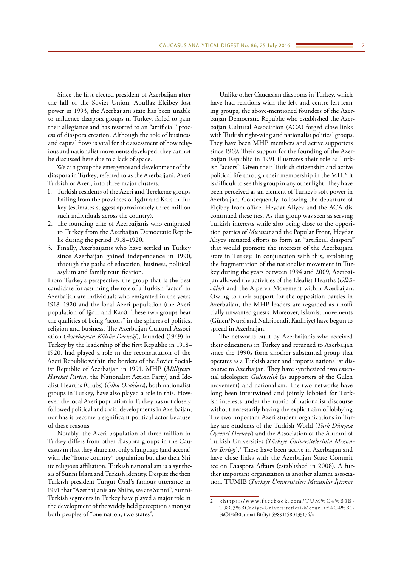Since the first elected president of Azerbaijan after the fall of the Soviet Union, Abulfaz Elçibey lost power in 1993, the Azerbaijani state has been unable to influence diaspora groups in Turkey, failed to gain their allegiance and has resorted to an "artificial" process of diaspora creation. Although the role of business and capital flows is vital for the assessment of how religious and nationalist movements developed, they cannot be discussed here due to a lack of space.

We can group the emergence and development of the diaspora in Turkey, referred to as the Azerbaijani, Azeri Turkish or Azeri, into three major clusters:

- 1. Turkish residents of the Azeri and Terekeme groups hailing from the provinces of Iğdır and Kars in Turkey (estimates suggest approximately three million such individuals across the country).
- 2. The founding elite of Azerbaijanis who emigrated to Turkey from the Azerbaijan Democratic Republic during the period 1918–1920.
- 3. Finally, Azerbaijanis who have settled in Turkey since Azerbaijan gained independence in 1990, through the paths of education, business, political asylum and family reunification.

From Turkey's perspective, the group that is the best candidate for assuming the role of a Turkish "actor" in Azerbaijan are individuals who emigrated in the years 1918–1920 and the local Azeri population (the Azeri population of Iğdır and Kars). These two groups bear the qualities of being "actors" in the spheres of politics, religion and business. The Azerbaijan Cultural Association (*Azerbaycan Kültür Derneği*), founded (1949) in Turkey by the leadership of the first Republic in 1918– 1920, had played a role in the reconstitution of the Azeri Republic within the borders of the Soviet Socialist Republic of Azerbaijan in 1991. MHP (*Milliyetçi Hareket Partisi,* the Nationalist Action Party) and Idealist Hearths (Clubs) (*Ülkü Ocakları*), both nationalist groups in Turkey, have also played a role in this. However, the local Azeri population in Turkey has not closely followed political and social developments in Azerbaijan, nor has it become a significant political actor because of these reasons.

Notably, the Azeri population of three million in Turkey differs from other diaspora groups in the Caucasus in that they share not only a language (and accent) with the "home country" population but also their Shiite religious affiliation. Turkish nationalism is a synthesis of Sunni Islam and Turkish identity. Despite the then Turkish president Turgut Özal's famous utterance in 1991 that "Azerbaijanis are Shiite, we are Sunni", Sunni-Turkish segments in Turkey have played a major role in the development of the widely held perception amongst both peoples of "one nation, two states".

Unlike other Caucasian diasporas in Turkey, which have had relations with the left and centre-left-leaning groups, the above-mentioned founders of the Azerbaijan Democratic Republic who established the Azerbaijan Cultural Association (ACA) forged close links with Turkish right-wing and nationalist political groups. They have been MHP members and active supporters since 1969. Their support for the founding of the Azerbaijan Republic in 1991 illustrates their role as Turkish "actors". Given their Turkish citizenship and active political life through their membership in the MHP, it is difficult to see this group in any other light. They have been perceived as an element of Turkey's soft power in Azerbaijan. Consequently, following the departure of Elçibey from office, Heydar Aliyev and the ACA discontinued these ties. As this group was seen as serving Turkish interests while also being close to the opposition parties of *Musavat* and the Popular Front, Heydar Aliyev initiated efforts to form an "artificial diaspora" that would promote the interests of the Azerbaijani state in Turkey. In conjunction with this, exploiting the fragmentation of the nationalist movement in Turkey during the years between 1994 and 2009, Azerbaijan allowed the activities of the Idealist Hearths (*Ülkücüler*) and the Alperen Movement within Azerbaijan. Owing to their support for the opposition parties in Azerbaijan, the MHP leaders are regarded as unofficially unwanted guests. Moreover, Islamist movements (Gülen/Nursi and Naksibendi, Kadiriye) have begun to spread in Azerbaijan.

The networks built by Azerbaijanis who received their educations in Turkey and returned to Azerbaijan since the 1990s form another substantial group that operates as a Turkish actor and imports nationalist discourse to Azerbaijan. They have synthesized two essential ideologies: *Gülencilik* (as supporters of the Gülen movement) and nationalism. The two networks have long been intertwined and jointly lobbied for Turkish interests under the rubric of nationalist discourse without necessarily having the explicit aim of lobbying. The two important Azeri student organizations in Turkey are Students of the Turkish World (*Türk Dünyası Öyrenci Derneyi*) and the Association of the Alumni of Turkish Universities (*Türkiye Üniversitelerinin Mezun*lar Birliği).<sup>2</sup> These have been active in Azerbaijan and have close links with the Azerbaijan State Committee on Diaspora Affairs (established in 2008). A further important organization is another alumni association, TUMIB (*Türkiye Üniversiteleri Mezunlar İçtimai* 

<sup>2</sup> < [https://www.facebook.com/TUM%C4%B0B-](https://www.facebook.com/TUMÝB-Türkiye-Universitetleri-Mezunlarý-Ýctimai-Birliyi-598911580133174/)[T%C3%BCrkiye-Universitetleri-Mezunlar%C4%B1-](https://www.facebook.com/TUMÝB-Türkiye-Universitetleri-Mezunlarý-Ýctimai-Birliyi-598911580133174/) [%C4%B0ctimai-Birliyi-598911580133174/](https://www.facebook.com/TUMÝB-Türkiye-Universitetleri-Mezunlarý-Ýctimai-Birliyi-598911580133174/)>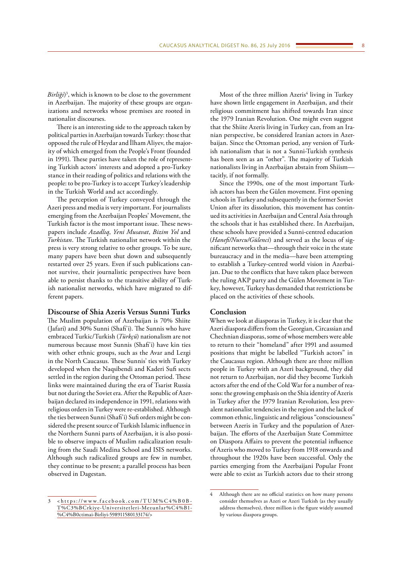*Birliği*) 3 , which is known to be close to the government in Azerbaijan. The majority of these groups are organizations and networks whose premises are rooted in nationalist discourses.

There is an interesting side to the approach taken by political parties in Azerbaijan towards Turkey: those that opposed the rule of Heydar and İlham Aliyev, the majority of which emerged from the People's Front (founded in 1991). These parties have taken the role of representing Turkish actors' interests and adopted a pro-Turkey stance in their reading of politics and relations with the people: to be pro-Turkey is to accept Turkey's leadership in the Turkish World and act accordingly.

The perception of Turkey conveyed through the Azeri press and media is very important. For journalists emerging from the Azerbaijan Peoples' Movement, the Turkish factor is the most important issue. These newspapers include *Azadlıq*, *Yeni Musavat*, *Bizim Yol* and *Turkistan*. The Turkish nationalist network within the press is very strong relative to other groups. To be sure, many papers have been shut down and subsequently restarted over 25 years. Even if such publications cannot survive, their journalistic perspectives have been able to persist thanks to the transitive ability of Turkish nationalist networks, which have migrated to different papers.

## **Discourse of Shia Azeris Versus Sunni Turks**

The Muslim population of Azerbaijan is 70% Shiite (Jafari) and 30% Sunni (Shafi'i). The Sunnis who have embraced Turkic/Turkish (*Türkçü*) nationalism are not numerous because most Sunnis (Shafi'i) have kin ties with other ethnic groups, such as the Avar and Lezgi in the North Caucasus. These Sunnis' ties with Turkey developed when the Naqsibendi and Kaderi Sufi sects settled in the region during the Ottoman period. These links were maintained during the era of Tsarist Russia but not during the Soviet era. After the Republic of Azerbaijan declared its independence in 1991, relations with religious orders in Turkey were re-established. Although the ties between Sunni (Shafi'i) Sufi orders might be considered the present source of Turkish Islamic influence in the Northern Sunni parts of Azerbaijan, it is also possible to observe impacts of Muslim radicalization resulting from the Saudi Medina School and ISIS networks. Although such radicalized groups are few in number, they continue to be present; a parallel process has been observed in Dagestan.

Most of the three million Azeris<sup>4</sup> living in Turkey have shown little engagement in Azerbaijan, and their religious commitment has shifted towards Iran since the 1979 Iranian Revolution. One might even suggest that the Shiite Azeris living in Turkey can, from an Iranian perspective, be considered Iranian actors in Azerbaijan. Since the Ottoman period, any version of Turkish nationalism that is not a Sunni-Turkish synthesis has been seen as an "other". The majority of Turkish nationalists living in Azerbaijan abstain from Shiism tacitly, if not formally.

Since the 1990s, one of the most important Turkish actors has been the Gülen movement. First opening schools in Turkey and subsequently in the former Soviet Union after its dissolution, this movement has continued its activities in Azerbaijan and Central Asia through the schools that it has established there. In Azerbaijan, these schools have provided a Sunni-centred education (*Hanefi/Nurcu/Gülenci*) and served as the locus of significant networks that—through their voice in the state bureaucracy and in the media—have been attempting to establish a Turkey-centred world vision in Azerbaijan. Due to the conflicts that have taken place between the ruling AKP party and the Gülen Movement in Turkey, however, Turkey has demanded that restrictions be placed on the activities of these schools.

## **Conclusion**

When we look at diasporas in Turkey, it is clear that the Azeri diaspora differs from the Georgian, Circassian and Chechnian diasporas, some of whose members were able to return to their "homeland" after 1991 and assumed positions that might be labelled "Turkish actors" in the Caucasus region. Although there are three million people in Turkey with an Azeri background, they did not return to Azerbaijan, nor did they become Turkish actors after the end of the Cold War for a number of reasons: the growing emphasis on the Shia identity of Azeris in Turkey after the 1979 Iranian Revolution, less prevalent nationalist tendencies in the region and the lack of common ethnic, linguistic and religious "consciousness" between Azeris in Turkey and the population of Azerbaijan. The efforts of the Azerbaijan State Committee on Diaspora Affairs to prevent the potential influence of Azeris who moved to Turkey from 1918 onwards and throughout the 1920s have been successful. Only the parties emerging from the Azerbaijani Popular Front were able to exist as Turkish actors due to their strong

<sup>3</sup> < [https://www.facebook.com/TUM%C4%B0B-](https://www.facebook.com/TUM%C4%B0B-T%C3%BCrkiye-Universitetleri-Mezunlar%C4%B1-%C4%B0ctimai-Birliyi-598911580133174/)[T%C3%BCrkiye-Universitetleri-Mezunlar%C4%B1-](https://www.facebook.com/TUM%C4%B0B-T%C3%BCrkiye-Universitetleri-Mezunlar%C4%B1-%C4%B0ctimai-Birliyi-598911580133174/) [%C4%B0ctimai-Birliyi-598911580133174/](https://www.facebook.com/TUM%C4%B0B-T%C3%BCrkiye-Universitetleri-Mezunlar%C4%B1-%C4%B0ctimai-Birliyi-598911580133174/)>

<sup>4</sup> Although there are no official statistics on how many persons consider themselves as Azeri or Azeri Turkish (as they usually address themselves), three million is the figure widely assumed by various diaspora groups.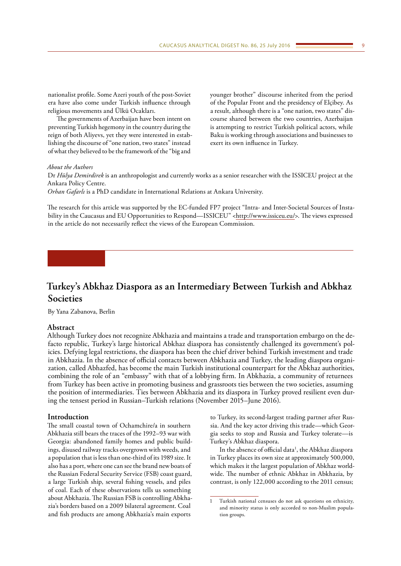<span id="page-8-0"></span>nationalist profile. Some Azeri youth of the post-Soviet era have also come under Turkish influence through religious movements and Ülkü Ocakları.

The governments of Azerbaijan have been intent on preventing Turkish hegemony in the country during the reign of both Aliyevs, yet they were interested in establishing the discourse of "one nation, two states" instead of what they believed to be the framework of the "big and

younger brother" discourse inherited from the period of the Popular Front and the presidency of Elçibey. As a result, although there is a "one nation, two states" discourse shared between the two countries, Azerbaijan is attempting to restrict Turkish political actors, while Baku is working through associations and businesses to exert its own influence in Turkey.

## *About the Authors*

Dr *Hülya Demirdirek* is an anthropologist and currently works as a senior researcher with the ISSICEU project at the Ankara Policy Centre.

*Orhan Gafarlı* is a PhD candidate in International Relations at Ankara University.

The research for this article was supported by the EC-funded FP7 project "Intra- and Inter-Societal Sources of Instability in the Caucasus and EU Opportunities to Respond—ISSICEU" [<http://www.issiceu.eu/>](http://www.issiceu.eu/). The views expressed in the article do not necessarily reflect the views of the European Commission.

## **Turkey's Abkhaz Diaspora as an Intermediary Between Turkish and Abkhaz Societies**

By Yana Zabanova, Berlin

## **Abstract**

Although Turkey does not recognize Abkhazia and maintains a trade and transportation embargo on the defacto republic, Turkey's large historical Abkhaz diaspora has consistently challenged its government's policies. Defying legal restrictions, the diaspora has been the chief driver behind Turkish investment and trade in Abkhazia. In the absence of official contacts between Abkhazia and Turkey, the leading diaspora organization, called Abhazfed, has become the main Turkish institutional counterpart for the Abkhaz authorities, combining the role of an "embassy" with that of a lobbying firm. In Abkhazia, a community of returnees from Turkey has been active in promoting business and grassroots ties between the two societies, assuming the position of intermediaries. Ties between Abkhazia and its diaspora in Turkey proved resilient even during the tensest period in Russian–Turkish relations (November 2015–June 2016).

## **Introduction**

The small coastal town of Ochamchire/a in southern Abkhazia still bears the traces of the 1992–93 war with Georgia: abandoned family homes and public buildings, disused railway tracks overgrown with weeds, and a population that is less than one-third of its 1989 size. It also has a port, where one can see the brand new boats of the Russian Federal Security Service (FSB) coast guard, a large Turkish ship, several fishing vessels, and piles of coal. Each of these observations tells us something about Abkhazia. The Russian FSB is controlling Abkhazia's borders based on a 2009 bilateral agreement. Coal and fish products are among Abkhazia's main exports

to Turkey, its second-largest trading partner after Russia. And the key actor driving this trade—which Georgia seeks to stop and Russia and Turkey tolerate—is Turkey's Abkhaz diaspora.

In the absence of official data<sup>1</sup>, the Abkhaz diaspora in Turkey places its own size at approximately 500,000, which makes it the largest population of Abkhaz worldwide. The number of ethnic Abkhaz in Abkhazia, by contrast, is only 122,000 according to the 2011 census;

Turkish national censuses do not ask questions on ethnicity, and minority status is only accorded to non-Muslim population groups.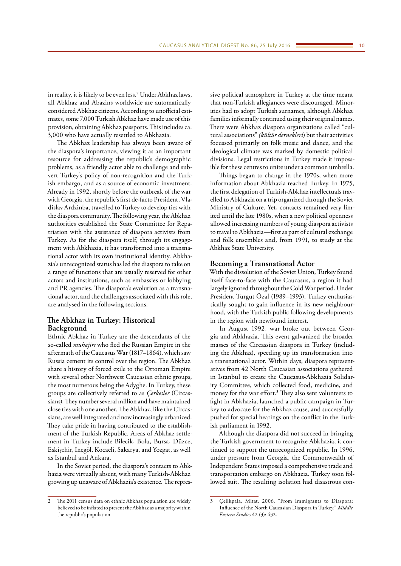in reality, it is likely to be even less.<sup>2</sup> Under Abkhaz laws, all Abkhaz and Abazins worldwide are automatically considered Abkhaz citizens. According to unofficial estimates, some 7,000 Turkish Abkhaz have made use of this provision, obtaining Abkhaz passports. This includes ca. 3,000 who have actually resettled to Abkhazia.

The Abkhaz leadership has always been aware of the diaspora's importance, viewing it as an important resource for addressing the republic's demographic problems, as a friendly actor able to challenge and subvert Turkey's policy of non-recognition and the Turkish embargo, and as a source of economic investment. Already in 1992, shortly before the outbreak of the war with Georgia, the republic's first de-facto President, Vladislav Ardzinba, travelled to Turkey to develop ties with the diaspora community. The following year, the Abkhaz authorities established the State Committee for Repatriation with the assistance of diaspora activists from Turkey. As for the diaspora itself, through its engagement with Abkhazia, it has transformed into a transnational actor with its own institutional identity. Abkhazia's unrecognized status has led the diaspora to take on a range of functions that are usually reserved for other actors and institutions, such as embassies or lobbying and PR agencies. The diaspora's evolution as a transnational actor, and the challenges associated with this role, are analysed in the following sections.

## **The Abkhaz in Turkey: Historical Background**

Ethnic Abkhaz in Turkey are the descendants of the so-called *muhajirs* who fled the Russian Empire in the aftermath of the Caucasus War (1817–1864), which saw Russia cement its control over the region. The Abkhaz share a history of forced exile to the Ottoman Empire with several other Northwest Caucasian ethnic groups, the most numerous being the Adyghe. In Turkey, these groups are collectively referred to as *Çerkesler* (Circassians). They number several million and have maintained close ties with one another. The Abkhaz, like the Circassians, are well integrated and now increasingly urbanized. They take pride in having contributed to the establishment of the Turkish Republic. Areas of Abkhaz settlement in Turkey include Bilecik, Bolu, Bursa, Düzce, Eskişehir, Inegöl, Kocaeli, Sakarya, and Yozgat, as well as Istanbul and Ankara.

In the Soviet period, the diaspora's contacts to Abkhazia were virtually absent, with many Turkish-Abkhaz growing up unaware of Abkhazia's existence. The repres-

sive political atmosphere in Turkey at the time meant that non-Turkish allegiances were discouraged. Minorities had to adopt Turkish surnames, although Abkhaz families informally continued using their original names. There were Abkhaz diaspora organizations called "cultural associations" *(kültür dernekleri*) but their activities focussed primarily on folk music and dance, and the ideological climate was marked by domestic political divisions. Legal restrictions in Turkey made it impossible for these centres to unite under a common umbrella.

Things began to change in the 1970s, when more information about Abkhazia reached Turkey. In 1975, the first delegation of Turkish-Abkhaz intellectuals travelled to Abkhazia on a trip organized through the Soviet Ministry of Culture. Yet, contacts remained very limited until the late 1980s, when a new political openness allowed increasing numbers of young diaspora activists to travel to Abkhazia—first as part of cultural exchange and folk ensembles and, from 1991, to study at the Abkhaz State University.

## **Becoming a Transnational Actor**

With the dissolution of the Soviet Union, Turkey found itself face-to-face with the Caucasus, a region it had largely ignored throughout the Cold War period. Under President Turgut Özal (1989–1993), Turkey enthusiastically sought to gain influence in its new neighbourhood, with the Turkish public following developments in the region with newfound interest.

In August 1992, war broke out between Georgia and Abkhazia. This event galvanized the broader masses of the Circassian diaspora in Turkey (including the Abkhaz), speeding up its transformation into a transnational actor. Within days, diaspora representatives from 42 North Caucasian associations gathered in Istanbul to create the Caucasus-Abkhazia Solidarity Committee, which collected food, medicine, and money for the war effort.<sup>3</sup> They also sent volunteers to fight in Abkhazia, launched a public campaign in Turkey to advocate for the Abkhaz cause, and successfully pushed for special hearings on the conflict in the Turkish parliament in 1992.

Although the diaspora did not succeed in bringing the Turkish government to recognize Abkhazia, it continued to support the unrecognized republic. In 1996, under pressure from Georgia, the Commonwealth of Independent States imposed a comprehensive trade and transportation embargo on Abkhazia. Turkey soon followed suit. The resulting isolation had disastrous con-

<sup>2</sup> The 2011 census data on ethnic Abkhaz population are widely believed to be inflated to present the Abkhaz as a majority within the republic's population.

<sup>3</sup> Çelikpala, Mitat. 2006. "From Immigrants to Diaspora: Influence of the North Caucasian Diaspora in Turkey." *Middle Eastern Studies* 42 (3): 432.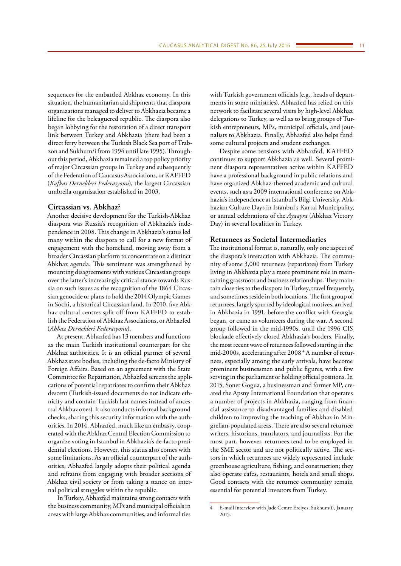sequences for the embattled Abkhaz economy. In this situation, the humanitarian aid shipments that diaspora organizations managed to deliver to Abkhazia became a lifeline for the beleaguered republic. The diaspora also began lobbying for the restoration of a direct transport link between Turkey and Abkhazia (there had been a direct ferry between the Turkish Black Sea port of Trabzon and Sukhum/i from 1994 until late 1995). Throughout this period, Abkhazia remained a top policy priority of major Circassian groups in Turkey and subsequently of the Federation of Caucasus Associations, or KAFFED (*Kafkas Dernekleri Federasyonu*), the largest Circassian umbrella organisation established in 2003.

#### **Circassian vs. Abkhaz?**

Another decisive development for the Turkish-Abkhaz diaspora was Russia's recognition of Abkhazia's independence in 2008. This change in Abkhazia's status led many within the diaspora to call for a new format of engagement with the homeland, moving away from a broader Circassian platform to concentrate on a distinct Abkhaz agenda. This sentiment was strengthened by mounting disagreements with various Circassian groups over the latter's increasingly critical stance towards Russia on such issues as the recognition of the 1864 Circassian genocide or plans to hold the 2014 Olympic Games in Sochi, a historical Circassian land. In 2010, five Abkhaz cultural centres split off from KAFFED to establish the Federation of Abkhaz Associations, or Abhazfed (*Abhaz Dernekleri Federasyonu*).

At present, Abhazfed has 13 members and functions as the main Turkish institutional counterpart for the Abkhaz authorities. It is an official partner of several Abkhaz state bodies, including the de-facto Ministry of Foreign Affairs. Based on an agreement with the State Committee for Repatriation, Abhazfed screens the applications of potential repatriates to confirm their Abkhaz descent (Turkish-issued documents do not indicate ethnicity and contain Turkish last names instead of ancestral Abkhaz ones). It also conducts informal background checks, sharing this security information with the authorities. In 2014, Abhazfed, much like an embassy, cooperated with the Abkhaz Central Election Commission to organize voting in Istanbul in Abkhazia's de-facto presidential elections. However, this status also comes with some limitations. As an official counterpart of the authorities, Abhazfed largely adopts their political agenda and refrains from engaging with broader sections of Abkhaz civil society or from taking a stance on internal political struggles within the republic.

In Turkey, Abhazfed maintains strong contacts with the business community, MPs and municipal officials in areas with large Abkhaz communities, and informal ties

with Turkish government officials (e.g., heads of departments in some ministries). Abhazfed has relied on this network to facilitate several visits by high-level Abkhaz delegations to Turkey, as well as to bring groups of Turkish entrepreneurs, MPs, municipal officials, and journalists to Abkhazia. Finally, Abhazfed also helps fund some cultural projects and student exchanges.

Despite some tensions with Abhazfed, KAFFED continues to support Abkhazia as well. Several prominent diaspora representatives active within KAFFED have a professional background in public relations and have organized Abkhaz-themed academic and cultural events, such as a 2009 international conference on Abkhazia's independence at Istanbul's Bilgi University, Abkhazian Culture Days in Istanbul's Kartal Municipality, or annual celebrations of the *Ayaayra* (Abkhaz Victory Day) in several localities in Turkey.

## **Returnees as Societal Intermediaries**

The institutional format is, naturally, only one aspect of the diaspora's interaction with Abkhazia. The community of some 3,000 returnees (repatriates) from Turkey living in Abkhazia play a more prominent role in maintaining grassroots and business relationships. They maintain close ties to the diaspora in Turkey, travel frequently, and sometimes reside in both locations. The first group of returnees, largely spurred by ideological motives, arrived in Abkhazia in 1991, before the conflict with Georgia began, or came as volunteers during the war. A second group followed in the mid-1990s, until the 1996 CIS blockade effectively closed Abkhazia's borders. Finally, the most recent wave of returnees followed starting in the mid-2000s, accelerating after 2008 <sup>4</sup> A number of returnees, especially among the early arrivals, have become prominent businessmen and public figures, with a few serving in the parliament or holding official positions. In 2015, Soner Gogua, a businessman and former MP, created the Apsny International Foundation that operates a number of projects in Abkhazia, ranging from financial assistance to disadvantaged families and disabled children to improving the teaching of Abkhaz in Mingrelian-populated areas. There are also several returnee writers, historians, translators, and journalists. For the most part, however, returnees tend to be employed in the SME sector and are not politically active. The sectors in which returnees are widely represented include greenhouse agriculture, fishing, and construction; they also operate cafes, restaurants, hotels and small shops. Good contacts with the returnee community remain essential for potential investors from Turkey.

<sup>4</sup> E-mail interview with Jade Cemre Erciyes, Sukhum(i), January 2015.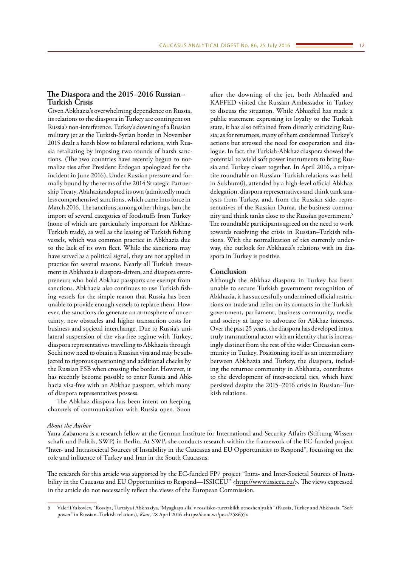# **The Diaspora and the 2015–2016 Russian–**

## **Turkish Crisis**

Given Abkhazia's overwhelming dependence on Russia, its relations to the diaspora in Turkey are contingent on Russia's non-interference. Turkey's downing of a Russian military jet at the Turkish-Syrian border in November 2015 dealt a harsh blow to bilateral relations, with Russia retaliating by imposing two rounds of harsh sanctions. (The two countries have recently begun to normalize ties after President Erdogan apologized for the incident in June 2016). Under Russian pressure and formally bound by the terms of the 2014 Strategic Partnership Treaty, Abkhazia adopted its own (admittedly much less comprehensive) sanctions, which came into force in March 2016. The sanctions, among other things, ban the import of several categories of foodstuffs from Turkey (none of which are particularly important for Abkhaz-Turkish trade), as well as the leasing of Turkish fishing vessels, which was common practice in Abkhazia due to the lack of its own fleet. While the sanctions may have served as a political signal, they are not applied in practice for several reasons. Nearly all Turkish investment in Abkhazia is diaspora-driven, and diaspora entrepreneurs who hold Abkhaz passports are exempt from sanctions. Abkhazia also continues to use Turkish fishing vessels for the simple reason that Russia has been unable to provide enough vessels to replace them. However, the sanctions do generate an atmosphere of uncertainty, new obstacles and higher transaction costs for business and societal interchange. Due to Russia's unilateral suspension of the visa-free regime with Turkey, diaspora representatives travelling to Abkhazia through Sochi now need to obtain a Russian visa and may be subjected to rigorous questioning and additional checks by the Russian FSB when crossing the border. However, it has recently become possible to enter Russia and Abkhazia visa-free with an Abkhaz passport, which many of diaspora representatives possess.

The Abkhaz diaspora has been intent on keeping channels of communication with Russia open. Soon

after the downing of the jet, both Abhazfed and KAFFED visited the Russian Ambassador in Turkey to discuss the situation. While Abhazfed has made a public statement expressing its loyalty to the Turkish state, it has also refrained from directly criticizing Russia; as for returnees, many of them condemned Turkey's actions but stressed the need for cooperation and dialogue. In fact, the Turkish-Abkhaz diaspora showed the potential to wield soft power instruments to bring Russia and Turkey closer together. In April 2016, a tripartite roundtable on Russian–Turkish relations was held in Sukhum(i), attended by a high-level official Abkhaz delegation, diaspora representatives and think tank analysts from Turkey, and, from the Russian side, representatives of the Russian Duma, the business community and think tanks close to the Russian government.5 The roundtable participants agreed on the need to work towards resolving the crisis in Russian–Turkish relations. With the normalization of ties currently underway, the outlook for Abkhazia's relations with its diaspora in Turkey is positive.

## **Conclusion**

Although the Abkhaz diaspora in Turkey has been unable to secure Turkish government recognition of Abkhazia, it has successfully undermined official restrictions on trade and relies on its contacts in the Turkish government, parliament, business community, media and society at large to advocate for Abkhaz interests. Over the past 25 years, the diaspora has developed into a truly transnational actor with an identity that is increasingly distinct from the rest of the wider Circassian community in Turkey. Positioning itself as an intermediary between Abkhazia and Turkey, the diaspora, including the returnee community in Abkhazia, contributes to the development of inter-societal ties, which have persisted despite the 2015–2016 crisis in Russian–Turkish relations.

## *About the Author*

Yana Zabanova is a research fellow at the German Institute for International and Security Affairs (Stiftung Wissenschaft und Politik, SWP) in Berlin. At SWP, she conducts research within the framework of the EC-funded project "Inter- and Intrasocietal Sources of Instability in the Caucasus and EU Opportunities to Respond", focussing on the role and influence of Turkey and Iran in the South Caucasus.

The research for this article was supported by the EC-funded FP7 project "Intra- and Inter-Societal Sources of Instability in the Caucasus and EU Opportunities to Respond—ISSICEU" [<http://www.issiceu.eu/>](http://www.issiceu.eu/). The views expressed in the article do not necessarily reflect the views of the European Commission.

<sup>5</sup> Valerii Yakovlev, "Rossiya, Turtsiya i Abkhaziya. 'Myagkaya sila' v rossiisko-turetskikh otnosheniyakh" (Russia, Turkey and Abkhazia. "Soft power" in Russian–Turkish relations), *Kont*, 28 April 2016 [<https://cont.ws/post/258655>](https://cont.ws/post/258655)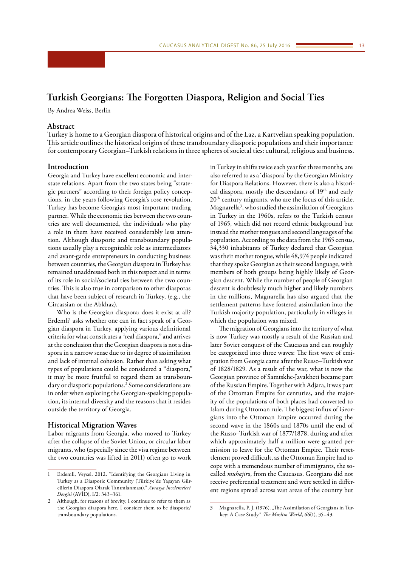## <span id="page-12-0"></span>**Turkish Georgians: The Forgotten Diaspora, Religion and Social Ties**

By Andrea Weiss, Berlin

## **Abstract**

Turkey is home to a Georgian diaspora of historical origins and of the Laz, a Kartvelian speaking population. This article outlines the historical origins of these transboundary diasporic populations and their importance for contemporary Georgian–Turkish relations in three spheres of societal ties: cultural, religious and business.

## **Introduction**

Georgia and Turkey have excellent economic and interstate relations. Apart from the two states being "strategic partners" according to their foreign policy conceptions, in the years following Georgia's rose revolution, Turkey has become Georgia's most important trading partner. While the economic ties between the two countries are well documented, the individuals who play a role in them have received considerably less attention. Although diasporic and transboundary populations usually play a recognizable role as intermediators and avant-garde entrepreneurs in conducting business between countries, the Georgian diaspora in Turkey has remained unaddressed both in this respect and in terms of its role in social/societal ties between the two countries. This is also true in comparison to other diasporas that have been subject of research in Turkey, (e.g., the Circassian or the Abkhaz).

Who is the Georgian diaspora; does it exist at all? Erdemli<sup>1</sup> asks whether one can in fact speak of a Georgian diaspora in Turkey, applying various definitional criteria for what constitutes a "real diaspora," and arrives at the conclusion that the Georgian diaspora is not a diaspora in a narrow sense due to its degree of assimilation and lack of internal cohesion. Rather than asking what types of populations could be considered a "diaspora," it may be more fruitful to regard them as transboundary or diasporic populations.<sup>2</sup> Some considerations are in order when exploring the Georgian-speaking population, its internal diversity and the reasons that it resides outside the territory of Georgia.

## **Historical Migration Waves**

Labor migrants from Georgia, who moved to Turkey after the collapse of the Soviet Union, or circular labor migrants, who (especially since the visa regime between the two countries was lifted in 2011) often go to work in Turkey in shifts twice each year for three months, are also referred to as a 'diaspora' by the Georgian Ministry for Diaspora Relations. However, there is also a historical diaspora, mostly the descendants of 19<sup>th</sup> and early 20<sup>th</sup> century migrants, who are the focus of this article. Magnarella3 , who studied the assimilation of Georgians in Turkey in the 1960s, refers to the Turkish census of 1965, which did not record ethnic background but instead the mother tongues and second languages of the population. According to the data from the 1965 census, 34,330 inhabitants of Turkey declared that Georgian was their mother tongue, while 48,974 people indicated that they spoke Georgian as their second language, with members of both groups being highly likely of Georgian descent. While the number of people of Georgian descent is doubtlessly much higher and likely numbers in the millions, Magnarella has also argued that the settlement patterns have fostered assimilation into the Turkish majority population, particularly in villages in which the population was mixed.

The migration of Georgians into the territory of what is now Turkey was mostly a result of the Russian and later Soviet conquest of the Caucasus and can roughly be categorized into three waves: The first wave of emigration from Georgia came after the Russo–Turkish war of 1828/1829. As a result of the war, what is now the Georgian province of Samtskhe-Javakheti became part of the Russian Empire. Together with Adjara, it was part of the Ottoman Empire for centuries, and the majority of the populations of both places had converted to Islam during Ottoman rule. The biggest influx of Georgians into the Ottoman Empire occurred during the second wave in the 1860s and 1870s until the end of the Russo–Turkish war of 1877/1878, during and after which approximately half a million were granted permission to leave for the Ottoman Empire. Their resettlement proved difficult, as the Ottoman Empire had to cope with a tremendous number of immigrants, the socalled *muhajir*s, from the Caucasus. Georgians did not receive preferential treatment and were settled in different regions spread across vast areas of the country but

<sup>1</sup> Erdemli, Veysel. 2012. "Identifying the Georgians Living in Turkey as a Diasporic Community (Türkiye'de Yaşayan Gürcülerin Diaspora Olarak Tanımlanması)." *Avrasya İncelemeleri Dergisi* (AVİD), I/2: 343–361.

Although, for reasons of brevity, I continue to refer to them as the Georgian diaspora here, I consider them to be diasporic/ transboundary populations.

<sup>3</sup> Magnarella, P. J. (1976). "The Assimilation of Georgians in Turkey: A Case Study." *The Muslim World*, *66*(1), 35–43.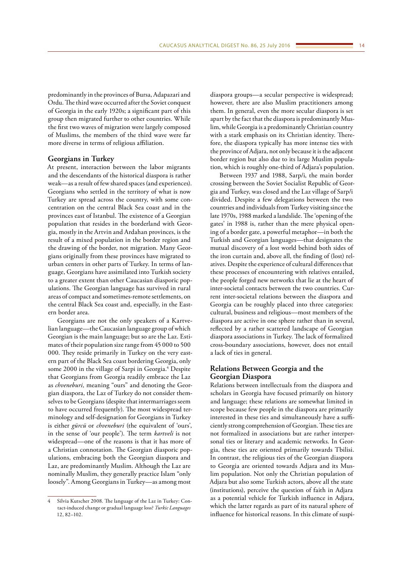predominantly in the provinces of Bursa, Adapazari and Ordu. The third wave occurred after the Soviet conquest of Georgia in the early 1920s; a significant part of this group then migrated further to other countries. While the first two waves of migration were largely composed of Muslims, the members of the third wave were far more diverse in terms of religious affiliation.

## **Georgians in Turkey**

At present, interaction between the labor migrants and the descendants of the historical diaspora is rather weak—as a result of few shared spaces (and experiences). Georgians who settled in the territory of what is now Turkey are spread across the country, with some concentration on the central Black Sea coast and in the provinces east of Istanbul. The existence of a Georgian population that resides in the borderland with Georgia, mostly in the Artvin and Ardahan provinces, is the result of a mixed population in the border region and the drawing of the border, not migration. Many Georgians originally from these provinces have migrated to urban centers in other parts of Turkey. In terms of language, Georgians have assimilated into Turkish society to a greater extent than other Caucasian diasporic populations. The Georgian language has survived in rural areas of compact and sometimes-remote settlements, on the central Black Sea coast and, especially, in the Eastern border area.

Georgians are not the only speakers of a Kartvelian language—the Caucasian language group of which Georgian is the main language; but so are the Laz. Estimates of their population size range from 45 000 to 500 000. They reside primarily in Turkey on the very eastern part of the Black Sea coast bordering Georgia, only some 2000 in the village of Sarpi in Georgia.<sup>4</sup> Despite that Georgians from Georgia readily embrace the Laz as *chveneburi,* meaning "ours" and denoting the Georgian diaspora, the Laz of Turkey do not consider themselves to be Georgians (despite that intermarriages seem to have occurred frequently). The most widespread terminology and self-designation for Georgians in Turkey is either *gürcü* or *chveneburi* (the equivalent of 'ours', in the sense of 'our people'). The term *kartveli* is not widespread—one of the reasons is that it has more of a Christian connotation. The Georgian diasporic populations, embracing both the Georgian diaspora and Laz, are predominantly Muslim. Although the Laz are nominally Muslim, they generally practice Islam "only loosely". Among Georgians in Turkey—as among most

diaspora groups—a secular perspective is widespread; however, there are also Muslim practitioners among them. In general, even the more secular diaspora is set apart by the fact that the diaspora is predominantly Muslim, while Georgia is a predominantly Christian country with a stark emphasis on its Christian identity. Therefore, the diaspora typically has more intense ties with the province of Adjara, not only because it is the adjacent border region but also due to its large Muslim population, which is roughly one-third of Adjara's population.

Between 1937 and 1988, Sarp/i, the main border crossing between the Soviet Socialist Republic of Georgia and Turkey, was closed and the Laz village of Sarp/i divided. Despite a few delegations between the two countries and individuals from Turkey visiting since the late 1970s, 1988 marked a landslide. The 'opening of the gates' in 1988 is, rather than the mere physical opening of a border gate, a powerful metaphor—in both the Turkish and Georgian languages—that designates the mutual discovery of a lost world behind both sides of the iron curtain and, above all, the finding of (lost) relatives. Despite the experience of cultural differences that these processes of encountering with relatives entailed, the people forged new networks that lie at the heart of inter-societal contacts between the two countries. Current inter-societal relations between the diaspora and Georgia can be roughly placed into three categories: cultural, business and religious—most members of the diaspora are active in one sphere rather than in several, reflected by a rather scattered landscape of Georgian diaspora associations in Turkey. The lack of formalized cross-boundary associations, however, does not entail a lack of ties in general.

## **Relations Between Georgia and the Georgian Diaspora**

Relations between intellectuals from the diaspora and scholars in Georgia have focused primarily on history and language; these relations are somewhat limited in scope because few people in the diaspora are primarily interested in these ties and simultaneously have a sufficiently strong comprehension of Georgian. These ties are not formalized in associations but are rather interpersonal ties or literary and academic networks. In Georgia, these ties are oriented primarily towards Tbilisi. In contrast, the religious ties of the Georgian diaspora to Georgia are oriented towards Adjara and its Muslim population. Not only the Christian population of Adjara but also some Turkish actors, above all the state (institutions), perceive the question of faith in Adjara as a potential vehicle for Turkish influence in Adjara, which the latter regards as part of its natural sphere of influence for historical reasons. In this climate of suspi-

Silvia Kutscher 2008. The language of the Laz in Turkey: Contact-induced change or gradual language loss? *Turkic Languages* 12, 82–102.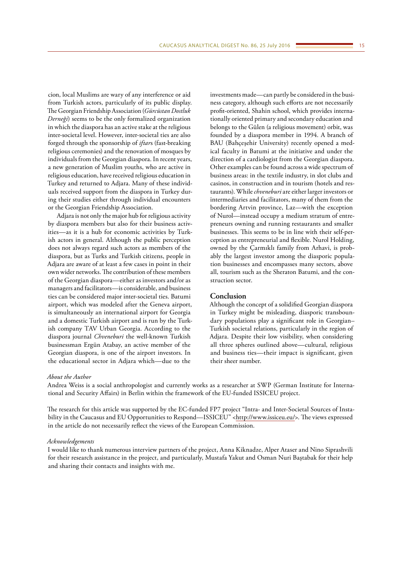cion, local Muslims are wary of any interference or aid from Turkish actors, particularly of its public display. The Georgian Friendship Association (*Gürcüstan Dostluk Derneği*) seems to be the only formalized organization in which the diaspora has an active stake at the religious inter-societal level. However, inter-societal ties are also forged through the sponsorship of *iftar*s (fast-breaking religious ceremonies) and the renovation of mosques by individuals from the Georgian diaspora. In recent years, a new generation of Muslim youths, who are active in religious education, have received religious education in Turkey and returned to Adjara. Many of these individuals received support from the diaspora in Turkey during their studies either through individual encounters or the Georgian Friendship Association.

Adjara is not only the major hub for religious activity by diaspora members but also for their business activities—as it is a hub for economic activities by Turkish actors in general. Although the public perception does not always regard such actors as members of the diaspora, but as Turks and Turkish citizens, people in Adjara are aware of at least a few cases in point in their own wider networks. The contribution of these members of the Georgian diaspora—either as investors and/or as managers and facilitators—is considerable, and business ties can be considered major inter-societal ties. Batumi airport, which was modeled after the Geneva airport, is simultaneously an international airport for Georgia and a domestic Turkish airport and is run by the Turkish company TAV Urban Georgia. According to the diaspora journal *Chveneburi* the well-known Turkish businessman Ergün Atabay, an active member of the Georgian diaspora, is one of the airport investors. In the educational sector in Adjara which—due to the

investments made—can partly be considered in the business category, although such efforts are not necessarily profit-oriented, Shahin school, which provides internationally oriented primary and secondary education and belongs to the Gülen (a religious movement) orbit, was founded by a diaspora member in 1994. A branch of BAU (Bahçeşehir University) recently opened a medical faculty in Batumi at the initiative and under the direction of a cardiologist from the Georgian diaspora. Other examples can be found across a wide spectrum of business areas: in the textile industry, in slot clubs and casinos, in construction and in tourism (hotels and restaurants). While *chveneburi* are either larger investors or intermediaries and facilitators, many of them from the bordering Artvin province, Laz—with the exception of Nurol—instead occupy a medium stratum of entrepreneurs owning and running restaurants and smaller businesses. This seems to be in line with their self-perception as entrepreneurial and flexible. Nurol Holding, owned by the Çarmıklı family from Arhavi, is probably the largest investor among the diasporic population businesses and encompasses many sectors, above all, tourism such as the Sheraton Batumi, and the construction sector.

## **Conclusion**

Although the concept of a solidified Georgian diaspora in Turkey might be misleading, diasporic transboundary populations play a significant role in Georgian– Turkish societal relations, particularly in the region of Adjara. Despite their low visibility, when considering all three spheres outlined above—cultural, religious and business ties—their impact is significant, given their sheer number.

#### *About the Author*

Andrea Weiss is a social anthropologist and currently works as a researcher at SWP (German Institute for International and Security Affairs) in Berlin within the framework of the EU-funded ISSICEU project.

The research for this article was supported by the EC-funded FP7 project "Intra- and Inter-Societal Sources of Instability in the Caucasus and EU Opportunities to Respond—ISSICEU" [<http://www.issiceu.eu/>](http://www.issiceu.eu/). The views expressed in the article do not necessarily reflect the views of the European Commission.

## *Acknowledgements*

I would like to thank numerous interview partners of the project, Anna Kiknadze, Alper Ataser and Nino Siprashvili for their research assistance in the project, and particularly, Mustafa Yakut and Osman Nuri Baştabak for their help and sharing their contacts and insights with me.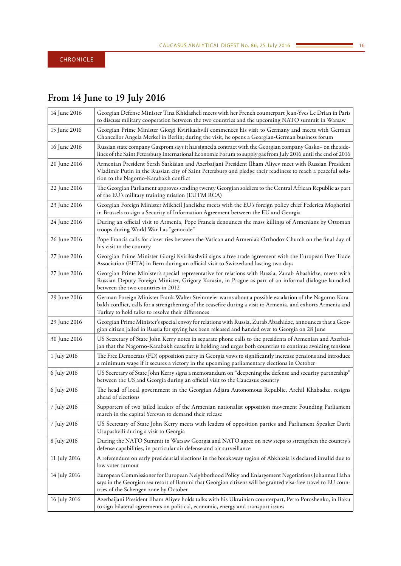# <span id="page-15-0"></span>**From 14 June to 19 July 2016**

| 14 June 2016 | Georgian Defense Minister Tina Khidasheli meets with her French counterpart Jean-Yves Le Drian in Paris<br>to discuss military cooperation between the two countries and the upcoming NATO summit in Warsaw                                                                 |
|--------------|-----------------------------------------------------------------------------------------------------------------------------------------------------------------------------------------------------------------------------------------------------------------------------|
| 15 June 2016 | Georgian Prime Minister Giorgi Kvirikashvili commences his visit to Germany and meets with German<br>Chancellor Angela Merkel in Berlin; during the visit, he opens a Georgian-German business forum                                                                        |
| 16 June 2016 | Russian state company Gazprom says it has signed a contract with the Georgian company Gasko+ on the side-<br>lines of the Saint Petersburg International Economic Forum to supply gas from July 2016 until the end of 2016                                                  |
| 20 June 2016 | Armenian President Serzh Sarkisian and Azerbaijani President Ilham Aliyev meet with Russian President<br>Vladimir Putin in the Russian city of Saint Petersburg and pledge their readiness to reach a peaceful solu-<br>tion to the Nagorno-Karabakh conflict               |
| 22 June 2016 | The Georgian Parliament approves sending twenty Georgian soldiers to the Central African Republic as part<br>of the EU's military training mission (EUTM RCA)                                                                                                               |
| 23 June 2016 | Georgian Foreign Minister Mikheil Janelidze meets with the EU's foreign policy chief Federica Mogherini<br>in Brussels to sign a Security of Information Agreement between the EU and Georgia                                                                               |
| 24 June 2016 | During an official visit to Armenia, Pope Francis denounces the mass killings of Armenians by Ottoman<br>troops during World War I as "genocide"                                                                                                                            |
| 26 June 2016 | Pope Francis calls for closer ties between the Vatican and Armenia's Orthodox Church on the final day of<br>his visit to the country                                                                                                                                        |
| 27 June 2016 | Georgian Prime Minister Giorgi Kvirikashvili signs a free trade agreement with the European Free Trade<br>Association (EFTA) in Bern during an official visit to Switzerland lasting two days                                                                               |
| 27 June 2016 | Georgian Prime Minister's special representative for relations with Russia, Zurab Abashidze, meets with<br>Russian Deputy Foreign Minister, Grigory Karasin, in Prague as part of an informal dialogue launched<br>between the two countries in 2012                        |
| 29 June 2016 | German Foreign Minister Frank-Walter Steinmeier warns about a possible escalation of the Nagorno-Kara-<br>bakh conflict, calls for a strengthening of the ceasefire during a visit to Armenia, and exhorts Armenia and<br>Turkey to hold talks to resolve their differences |
| 29 June 2016 | Georgian Prime Minister's special envoy for relations with Russia, Zurab Abashidze, announces that a Geor-<br>gian citizen jailed in Russia for spying has been released and handed over to Georgia on 28 June                                                              |
| 30 June 2016 | US Secretary of State John Kerry notes in separate phone calls to the presidents of Armenian and Azerbai-<br>jan that the Nagorno-Karabakh ceasefire is holding and urges both countries to continue avoiding tensions                                                      |
| 1 July 2016  | The Free Democrats (FD) opposition party in Georgia vows to significantly increase pensions and introduce<br>a minimum wage if it secures a victory in the upcoming parliamentary elections in October                                                                      |
| 6 July 2016  | US Secretary of State John Kerry signs a memorandum on "deepening the defense and security partnership"<br>between the US and Georgia during an official visit to the Caucasus country                                                                                      |
| 6 July 2016  | The head of local government in the Georgian Adjara Autonomous Republic, Archil Khabadze, resigns<br>ahead of elections                                                                                                                                                     |
| 7 July 2016  | Supporters of two jailed leaders of the Armenian nationalist opposition movement Founding Parliament<br>march in the capital Yerevan to demand their release                                                                                                                |
| 7 July 2016  | US Secretary of State John Kerry meets with leaders of opposition parties and Parliament Speaker Davit<br>Usupashvili during a visit to Georgia                                                                                                                             |
| 8 July 2016  | During the NATO Summit in Warsaw Georgia and NATO agree on new steps to strengthen the country's<br>defense capabilities, in particular air defense and air surveillance                                                                                                    |
| 11 July 2016 | A referendum on early presidential elections in the breakaway region of Abkhazia is declared invalid due to<br>low voter turnout                                                                                                                                            |
| 14 July 2016 | European Commissioner for European Neighborhood Policy and Enlargement Negotiations Johannes Hahn<br>says in the Georgian sea resort of Batumi that Georgian citizens will be granted visa-free travel to EU coun-<br>tries of the Schengen zone by October                 |
| 16 July 2016 | Azerbaijani President Ilham Aliyev holds talks with his Ukrainian counterpart, Petro Poroshenko, in Baku<br>to sign bilateral agreements on political, economic, energy and transport issues                                                                                |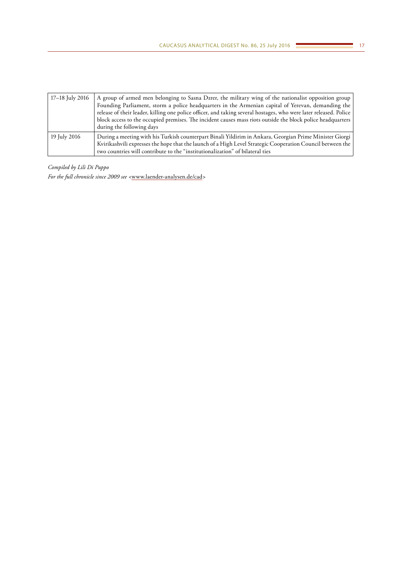| 17–18 July 2016 | A group of armed men belonging to Sasna Dzrer, the military wing of the nationalist opposition group<br>Founding Parliament, storm a police headquarters in the Armenian capital of Yerevan, demanding the<br>release of their leader, killing one police officer, and taking several hostages, who were later released. Police<br>block access to the occupied premises. The incident causes mass riots outside the block police headquarters<br>during the following days |
|-----------------|-----------------------------------------------------------------------------------------------------------------------------------------------------------------------------------------------------------------------------------------------------------------------------------------------------------------------------------------------------------------------------------------------------------------------------------------------------------------------------|
| 19 July 2016    | During a meeting with his Turkish counterpart Binali Yildirim in Ankara, Georgian Prime Minister Giorgi<br>Kvirikashvili expresses the hope that the launch of a High Level Strategic Cooperation Council between the<br>two countries will contribute to the "institutionalization" of bilateral ties                                                                                                                                                                      |

*Compiled by Lili Di Puppo*

*For the full chronicle since 2009 see <*www.laender-analysen.de/cad*>*